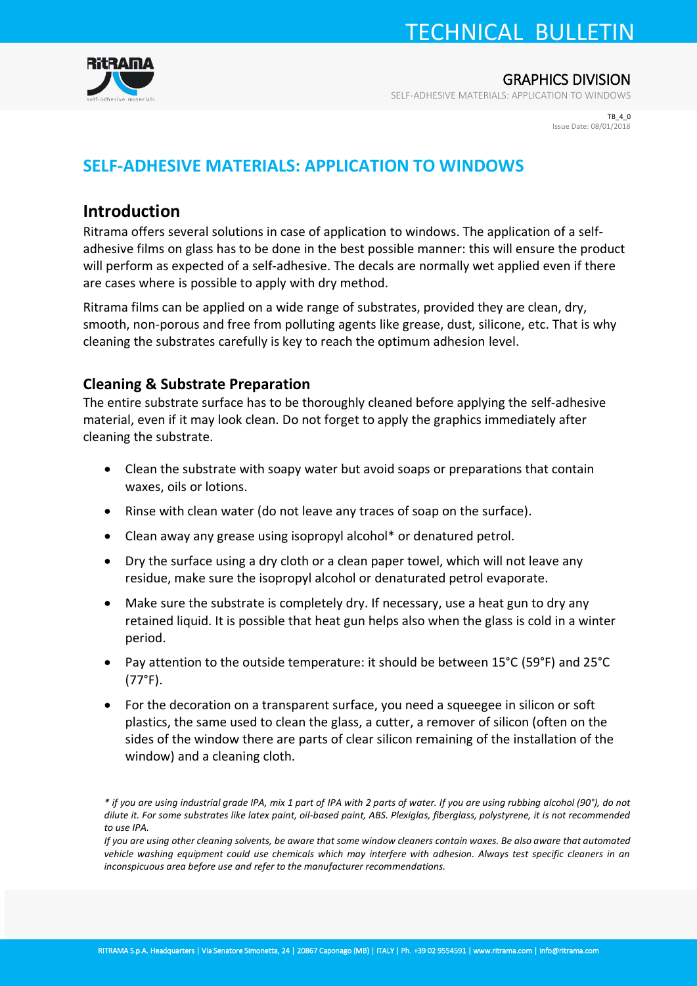## TECHNICAL BULLETIN



GRAPHICS DIVISION

SELF-ADHESIVE MATERIALS: APPLICATION TO WINDOWS

TB\_4\_0 Issue Date: 08/01/2018

### **SELF-ADHESIVE MATERIALS: APPLICATION TO WINDOWS**

### **Introduction**

Ritrama offers several solutions in case of application to windows. The application of a selfadhesive films on glass has to be done in the best possible manner: this will ensure the product will perform as expected of a self-adhesive. The decals are normally wet applied even if there are cases where is possible to apply with dry method.

Ritrama films can be applied on a wide range of substrates, provided they are clean, dry, smooth, non-porous and free from polluting agents like grease, dust, silicone, etc. That is why cleaning the substrates carefully is key to reach the optimum adhesion level.

### **Cleaning & Substrate Preparation**

The entire substrate surface has to be thoroughly cleaned before applying the self-adhesive material, even if it may look clean. Do not forget to apply the graphics immediately after cleaning the substrate.

- Clean the substrate with soapy water but avoid soaps or preparations that contain waxes, oils or lotions.
- Rinse with clean water (do not leave any traces of soap on the surface).
- Clean away any grease using isopropyl alcohol\* or denatured petrol.
- Dry the surface using a dry cloth or a clean paper towel, which will not leave any residue, make sure the isopropyl alcohol or denaturated petrol evaporate.
- Make sure the substrate is completely dry. If necessary, use a heat gun to dry any retained liquid. It is possible that heat gun helps also when the glass is cold in a winter period.
- Pay attention to the outside temperature: it should be between 15°C (59°F) and 25°C (77°F).
- For the decoration on a transparent surface, you need a squeegee in silicon or soft plastics, the same used to clean the glass, a cutter, a remover of silicon (often on the sides of the window there are parts of clear silicon remaining of the installation of the window) and a cleaning cloth.

*If you are using other cleaning solvents, be aware that some window cleaners contain waxes. Be also aware that automated vehicle washing equipment could use chemicals which may interfere with adhesion. Always test specific cleaners in an inconspicuous area before use and refer to the manufacturer recommendations.* 

*<sup>\*</sup> if you are using industrial grade IPA, mix 1 part of IPA with 2 parts of water. If you are using rubbing alcohol (90°), do not dilute it. For some substrates like latex paint, oil-based paint, ABS. Plexiglas, fiberglass, polystyrene, it is not recommended to use IPA.*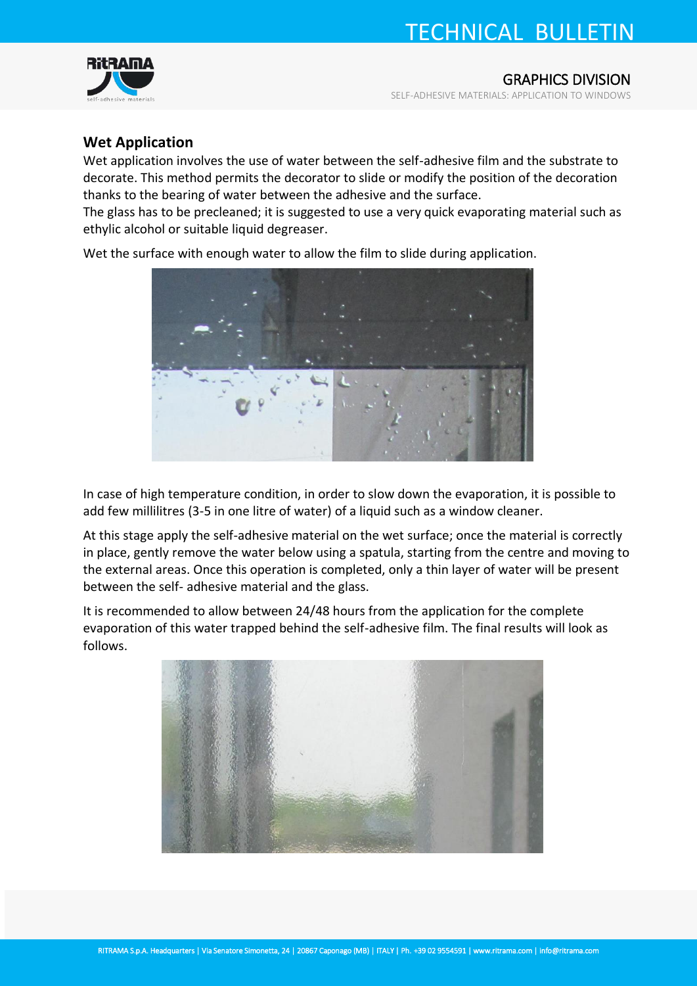# TECHNICAL BULLETIN



GRAPHICS DIVISION

SELF-ADHESIVE MATERIALS: APPLICATION TO WINDOWS

#### **Wet Application**

Wet application involves the use of water between the self-adhesive film and the substrate to decorate. This method permits the decorator to slide or modify the position of the decoration thanks to the bearing of water between the adhesive and the surface.

The glass has to be precleaned; it is suggested to use a very quick evaporating material such as ethylic alcohol or suitable liquid degreaser.

Wet the surface with enough water to allow the film to slide during application.



In case of high temperature condition, in order to slow down the evaporation, it is possible to add few millilitres (3-5 in one litre of water) of a liquid such as a window cleaner.

At this stage apply the self-adhesive material on the wet surface; once the material is correctly in place, gently remove the water below using a spatula, starting from the centre and moving to the external areas. Once this operation is completed, only a thin layer of water will be present between the self- adhesive material and the glass.

It is recommended to allow between 24/48 hours from the application for the complete evaporation of this water trapped behind the self-adhesive film. The final results will look as follows.